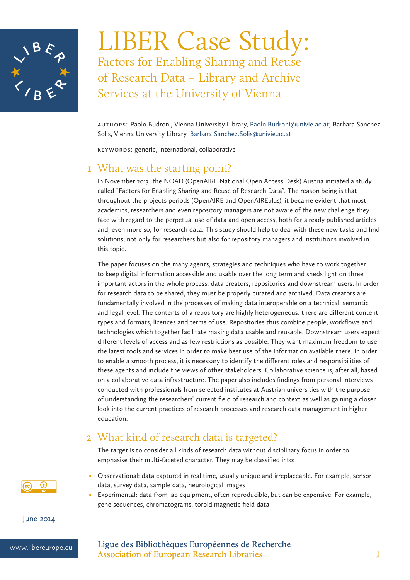

LIBER Case Study: Factors for Enabling Sharing and Reuse of Research Data – Library and Archive Services at the University of Vienna

AuthorS: Paolo Budroni, Vienna University Library, Paolo.Budroni@univie.ac.at; Barbara Sanchez Solis, Vienna University Library, Barbara.Sanchez.Solis@univie.ac.at

Keywords: generic, international, collaborative

## 1 What was the starting point?

In November 2013, the NOAD (OpenAIRE National Open Access Desk) Austria initiated a study called "Factors for Enabling Sharing and Reuse of Research Data". The reason being is that throughout the projects periods (OpenAIRE and OpenAIREplus), it became evident that most academics, researchers and even repository managers are not aware of the new challenge they face with regard to the perpetual use of data and open access, both for already published articles and, even more so, for research data. This study should help to deal with these new tasks and find solutions, not only for researchers but also for repository managers and institutions involved in this topic.

The paper focuses on the many agents, strategies and techniques who have to work together to keep digital information accessible and usable over the long term and sheds light on three important actors in the whole process: data creators, repositories and downstream users. In order for research data to be shared, they must be properly curated and archived. Data creators are fundamentally involved in the processes of making data interoperable on a technical, semantic and legal level. The contents of a repository are highly heterogeneous: there are different content types and formats, licences and terms of use. Repositories thus combine people, workflows and technologies which together facilitate making data usable and reusable. Downstream users expect different levels of access and as few restrictions as possible. They want maximum freedom to use the latest tools and services in order to make best use of the information available there. In order to enable a smooth process, it is necessary to identify the different roles and responsibilities of these agents and include the views of other stakeholders. Collaborative science is, after all, based on a collaborative data infrastructure. The paper also includes findings from personal interviews conducted with professionals from selected institutes at Austrian universities with the purpose of understanding the researchers' current field of research and context as well as gaining a closer look into the current practices of research processes and research data management in higher education.

## 2 What kind of research data is targeted?

The target is to consider all kinds of research data without disciplinary focus in order to emphasise their multi-faceted character. They may be classified into:

- • Observational: data captured in real time, usually unique and irreplaceable. For example, sensor data, survey data, sample data, neurological images
- Experimental: data from lab equipment, often reproducible, but can be expensive. For example, gene sequences, chromatograms, toroid magnetic field data

June 2014

 $^{\circ}$ 

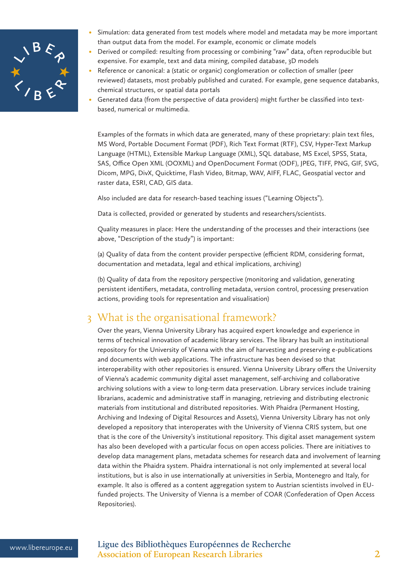

- Simulation: data generated from test models where model and metadata may be more important than output data from the model. For example, economic or climate models
- Derived or compiled: resulting from processing or combining "raw" data, often reproducible but expensive. For example, text and data mining, compiled database, 3D models
- Reference or canonical: a (static or organic) conglomeration or collection of smaller (peer reviewed) datasets, most probably published and curated. For example, gene sequence databanks, chemical structures, or spatial data portals
- Generated data (from the perspective of data providers) might further be classified into textbased, numerical or multimedia.

Examples of the formats in which data are generated, many of these proprietary: plain text files, MS Word, Portable Document Format (PDF), Rich Text Format (RTF), CSV, Hyper-Text Markup Language (HTML), Extensible Markup Language (XML), SQL database, MS Excel, SPSS, Stata, SAS, Office Open XML (OOXML) and OpenDocument Format (ODF), JPEG, TIFF, PNG, GIF, SVG, Dicom, MPG, DivX, Quicktime, Flash Video, Bitmap, WAV, AIFF, FLAC, Geospatial vector and raster data, ESRI, CAD, GIS data.

Also included are data for research-based teaching issues ("Learning Objects").

Data is collected, provided or generated by students and researchers/scientists.

Quality measures in place: Here the understanding of the processes and their interactions (see above, "Description of the study") is important:

(a) Quality of data from the content provider perspective (efficient RDM, considering format, documentation and metadata, legal and ethical implications, archiving)

(b) Quality of data from the repository perspective (monitoring and validation, generating persistent identifiers, metadata, controlling metadata, version control, processing preservation actions, providing tools for representation and visualisation)

# 3 What is the organisational framework?

Over the years, Vienna University Library has acquired expert knowledge and experience in terms of technical innovation of academic library services. The library has built an institutional repository for the University of Vienna with the aim of harvesting and preserving e-publications and documents with web applications. The infrastructure has been devised so that interoperability with other repositories is ensured. Vienna University Library offers the University of Vienna's academic community digital asset management, self-archiving and collaborative archiving solutions with a view to long-term data preservation. Library services include training librarians, academic and administrative staff in managing, retrieving and distributing electronic materials from institutional and distributed repositories. With Phaidra (Permanent Hosting, Archiving and Indexing of Digital Resources and Assets), Vienna University Library has not only developed a repository that interoperates with the University of Vienna CRIS system, but one that is the core of the University's institutional repository. This digital asset management system has also been developed with a particular focus on open access policies. There are initiatives to develop data management plans, metadata schemes for research data and involvement of learning data within the Phaidra system. Phaidra international is not only implemented at several local institutions, but is also in use internationally at universities in Serbia, Montenegro and Italy, for example. It also is offered as a content aggregation system to Austrian scientists involved in EUfunded projects. The University of Vienna is a member of COAR (Confederation of Open Access Repositories).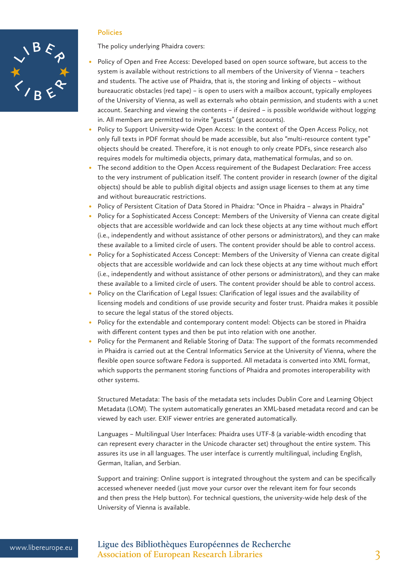

#### **Policies**

The policy underlying Phaidra covers:

- Policy of Open and Free Access: Developed based on open source software, but access to the system is available without restrictions to all members of the University of Vienna – teachers and students. The active use of Phaidra, that is, the storing and linking of objects – without bureaucratic obstacles (red tape) – is open to users with a mailbox account, typically employees of the University of Vienna, as well as externals who obtain permission, and students with a u:net account. Searching and viewing the contents – if desired – is possible worldwide without logging in. All members are permitted to invite "guests" (guest accounts).
- Policy to Support University-wide Open Access: In the context of the Open Access Policy, not only full texts in PDF format should be made accessible, but also "multi-resource content type" objects should be created. Therefore, it is not enough to only create PDFs, since research also requires models for multimedia objects, primary data, mathematical formulas, and so on.
- The second addition to the Open Access requirement of the Budapest Declaration: Free access to the very instrument of publication itself. The content provider in research (owner of the digital objects) should be able to publish digital objects and assign usage licenses to them at any time and without bureaucratic restrictions.
- Policy of Persistent Citation of Data Stored in Phaidra: "Once in Phaidra always in Phaidra"
- Policy for a Sophisticated Access Concept: Members of the University of Vienna can create digital objects that are accessible worldwide and can lock these objects at any time without much effort (i.e., independently and without assistance of other persons or administrators), and they can make these available to a limited circle of users. The content provider should be able to control access.
- Policy for a Sophisticated Access Concept: Members of the University of Vienna can create digital objects that are accessible worldwide and can lock these objects at any time without much effort (i.e., independently and without assistance of other persons or administrators), and they can make these available to a limited circle of users. The content provider should be able to control access.
- Policy on the Clarification of Legal Issues: Clarification of legal issues and the availability of licensing models and conditions of use provide security and foster trust. Phaidra makes it possible to secure the legal status of the stored objects.
- Policy for the extendable and contemporary content model: Objects can be stored in Phaidra with different content types and then be put into relation with one another.
- Policy for the Permanent and Reliable Storing of Data: The support of the formats recommended in Phaidra is carried out at the Central Informatics Service at the University of Vienna, where the flexible open source software Fedora is supported. All metadata is converted into XML format, which supports the permanent storing functions of Phaidra and promotes interoperability with other systems.

Structured Metadata: The basis of the metadata sets includes Dublin Core and Learning Object Metadata (LOM). The system automatically generates an XML-based metadata record and can be viewed by each user. EXIF viewer entries are generated automatically.

Languages – Multilingual User Interfaces: Phaidra uses UTF-8 (a variable-width encoding that can represent every character in the Unicode character set) throughout the entire system. This assures its use in all languages. The user interface is currently multilingual, including English, German, Italian, and Serbian.

Support and training: Online support is integrated throughout the system and can be specifically accessed whenever needed (just move your cursor over the relevant item for four seconds and then press the Help button). For technical questions, the university-wide help desk of the University of Vienna is available.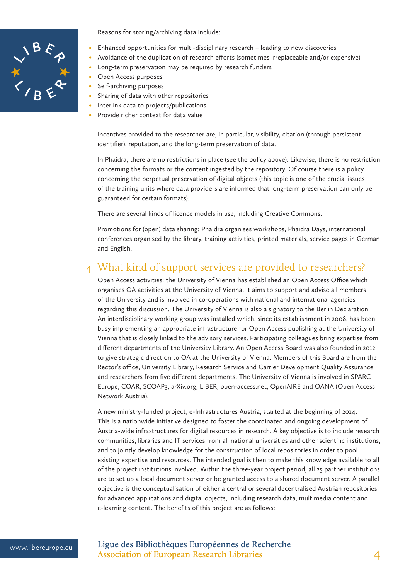

Reasons for storing/archiving data include:

- Enhanced opportunities for multi-disciplinary research leading to new discoveries
- Avoidance of the duplication of research efforts (sometimes irreplaceable and/or expensive)
- Long-term preservation may be required by research funders
- Open Access purposes
- Self-archiving purposes
- Sharing of data with other repositories
- Interlink data to projects/publications
- Provide richer context for data value

Incentives provided to the researcher are, in particular, visibility, citation (through persistent identifier), reputation, and the long-term preservation of data.

In Phaidra, there are no restrictions in place (see the policy above). Likewise, there is no restriction concerning the formats or the content ingested by the repository. Of course there is a policy concerning the perpetual preservation of digital objects (this topic is one of the crucial issues of the training units where data providers are informed that long-term preservation can only be guaranteed for certain formats).

There are several kinds of licence models in use, including Creative Commons.

Promotions for (open) data sharing: Phaidra organises workshops, Phaidra Days, international conferences organised by the library, training activities, printed materials, service pages in German and English.

## 4 What kind of support services are provided to researchers?

Open Access activities: the University of Vienna has established an Open Access Office which organises OA activities at the University of Vienna. It aims to support and advise all members of the University and is involved in co-operations with national and international agencies regarding this discussion. The University of Vienna is also a signatory to the Berlin Declaration. An interdisciplinary working group was installed which, since its establishment in 2008, has been busy implementing an appropriate infrastructure for Open Access publishing at the University of Vienna that is closely linked to the advisory services. Participating colleagues bring expertise from different departments of the University Library. An Open Access Board was also founded in 2012 to give strategic direction to OA at the University of Vienna. Members of this Board are from the Rector's office, University Library, Research Service and Carrier Development Quality Assurance and researchers from five different departments. The University of Vienna is involved in SPARC Europe, COAR, SCOAP3, arXiv.org, LIBER, open-access.net, OpenAIRE and OANA (Open Access Network Austria).

A new ministry-funded project, e-Infrastructures Austria, started at the beginning of 2014. This is a nationwide initiative designed to foster the coordinated and ongoing development of Austria-wide infrastructures for digital resources in research. A key objective is to include research communities, libraries and IT services from all national universities and other scientific institutions, and to jointly develop knowledge for the construction of local repositories in order to pool existing expertise and resources. The intended goal is then to make this knowledge available to all of the project institutions involved. Within the three-year project period, all 25 partner institutions are to set up a local document server or be granted access to a shared document server. A parallel objective is the conceptualisation of either a central or several decentralised Austrian repositories for advanced applications and digital objects, including research data, multimedia content and e-learning content. The benefits of this project are as follows: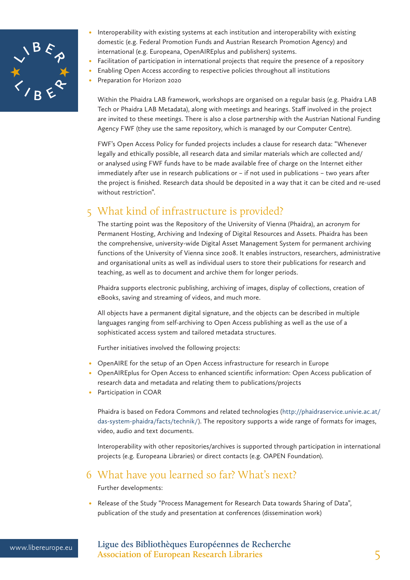

- Interoperability with existing systems at each institution and interoperability with existing domestic (e.g. Federal Promotion Funds and Austrian Research Promotion Agency) and international (e.g. Europeana, OpenAIREplus and publishers) systems.
- Facilitation of participation in international projects that require the presence of a repository
- Enabling Open Access according to respective policies throughout all institutions
- Preparation for Horizon 2020

Within the Phaidra LAB framework, workshops are organised on a regular basis (e.g. Phaidra LAB Tech or Phaidra LAB Metadata), along with meetings and hearings. Staff involved in the project are invited to these meetings. There is also a close partnership with the Austrian National Funding Agency FWF (they use the same repository, which is managed by our Computer Centre).

FWF's Open Access Policy for funded projects includes a clause for research data: "Whenever legally and ethically possible, all research data and similar materials which are collected and/ or analysed using FWF funds have to be made available free of charge on the Internet either immediately after use in research publications or – if not used in publications – two years after the project is finished. Research data should be deposited in a way that it can be cited and re-used without restriction".

# 5 What kind of infrastructure is provided?

The starting point was the Repository of the University of Vienna (Phaidra), an acronym for Permanent Hosting, Archiving and Indexing of Digital Resources and Assets. Phaidra has been the comprehensive, university-wide Digital Asset Management System for permanent archiving functions of the University of Vienna since 2008. It enables instructors, researchers, administrative and organisational units as well as individual users to store their publications for research and teaching, as well as to document and archive them for longer periods.

Phaidra supports electronic publishing, archiving of images, display of collections, creation of eBooks, saving and streaming of videos, and much more.

All objects have a permanent digital signature, and the objects can be described in multiple languages ranging from self-archiving to Open Access publishing as well as the use of a sophisticated access system and tailored metadata structures.

Further initiatives involved the following projects:

- OpenAIRE for the setup of an Open Access infrastructure for research in Europe
- • OpenAIREplus for Open Access to enhanced scientific information: Open Access publication of research data and metadata and relating them to publications/projects
- Participation in COAR

Phaidra is based on Fedora Commons and related technologies (http://phaidraservice.univie.ac.at/ das-system-phaidra/facts/technik/). The repository supports a wide range of formats for images, video, audio and text documents.

Interoperability with other repositories/archives is supported through participation in international projects (e.g. Europeana Libraries) or direct contacts (e.g. OAPEN Foundation).

### 6 What have you learned so far? What's next?

Further developments:

• Release of the Study "Process Management for Research Data towards Sharing of Data", publication of the study and presentation at conferences (dissemination work)